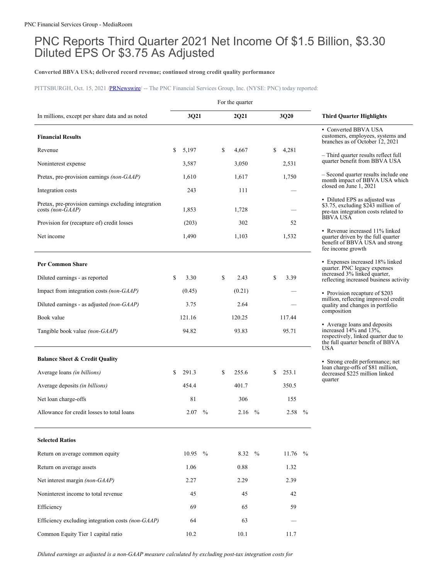# PNC Reports Third Quarter 2021 Net Income Of \$1.5 Billion, \$3.30 Diluted EPS Or \$3.75 As Adjusted

# **Converted BBVA USA; delivered record revenue; continued strong credit quality performance**

PITTSBURGH, Oct. 15, 2021 [/PRNewswire](http://www.prnewswire.com/)/ -- The PNC Financial Services Group, Inc. (NYSE: PNC) today reported:

|                                                                          |             |      |    | For the quarter |      |    |                     |               |                                                                                                                             |
|--------------------------------------------------------------------------|-------------|------|----|-----------------|------|----|---------------------|---------------|-----------------------------------------------------------------------------------------------------------------------------|
| In millions, except per share data and as noted                          | 3Q21        |      |    | 2Q21            |      |    | 3Q20                |               | <b>Third Quarter Highlights</b>                                                                                             |
| <b>Financial Results</b>                                                 |             |      |    |                 |      |    |                     |               | • Converted BBVA USA<br>customers, employees, systems and<br>branches as of October 12, 2021                                |
| Revenue                                                                  | \$<br>5,197 |      | S. | 4,667           |      | \$ | 4,281               |               | - Third quarter results reflect full                                                                                        |
| Noninterest expense                                                      | 3,587       |      |    | 3,050           |      |    | 2,531               |               | quarter benefit from BBVA USA                                                                                               |
| Pretax, pre-provision earnings (non-GAAP)                                | 1,610       |      |    | 1,617           |      |    | 1,750               |               | - Second quarter results include one<br>month impact of BBVA USA which                                                      |
| Integration costs                                                        | 243         |      |    | 111             |      |    |                     |               | closed on June 1, 2021                                                                                                      |
| Pretax, pre-provision earnings excluding integration<br>costs (non-GAAP) | 1,853       |      |    | 1,728           |      |    |                     |               | • Diluted EPS as adjusted was<br>\$3.75, excluding \$243 million of<br>pre-tax integration costs related to                 |
| Provision for (recapture of) credit losses                               | (203)       |      |    | 302             |      |    | 52                  |               | <b>BBVA USA</b>                                                                                                             |
| Net income                                                               | 1,490       |      |    | 1,103           |      |    | 1,532               |               | • Revenue increased 11% linked<br>quarter driven by the full quarter<br>benefit of BBVA USA and strong<br>fee income growth |
| <b>Per Common Share</b>                                                  |             |      |    |                 |      |    |                     |               | Expenses increased 18% linked<br>quarter. PNC legacy expenses<br>increased 3% linked quarter,                               |
| Diluted earnings - as reported                                           | \$<br>3.30  |      | \$ | 2.43            |      | \$ | 3.39                |               | reflecting increased business activity                                                                                      |
| Impact from integration costs (non-GAAP)                                 | (0.45)      |      |    | (0.21)          |      |    |                     |               | • Provision recapture of \$203<br>million, reflecting improved credit                                                       |
| Diluted earnings - as adjusted <i>(non-GAAP)</i>                         | 3.75        |      |    | 2.64            |      |    |                     |               | quality and changes in portfolio<br>composition                                                                             |
| Book value                                                               | 121.16      |      |    | 120.25          |      |    | 117.44              |               | • Average loans and deposits                                                                                                |
| Tangible book value <i>(non-GAAP)</i>                                    | 94.82       |      |    | 93.83           |      |    | 95.71               |               | increased 14% and 13%,<br>respectively, linked quarter due to<br>the full quarter benefit of BBVA<br><b>USA</b>             |
| <b>Balance Sheet &amp; Credit Quality</b>                                |             |      |    |                 |      |    |                     |               | • Strong credit performance; net                                                                                            |
| Average loans <i>(in billions)</i>                                       | \$<br>291.3 |      | S. | 255.6           |      | S  | 253.1               |               | loan charge-offs of \$81 million,<br>decreased \$225 million linked                                                         |
| Average deposits <i>(in billions)</i>                                    | 454.4       |      |    | 401.7           |      |    | 350.5               |               | quarter                                                                                                                     |
| Net loan charge-offs                                                     | 81          |      |    | 306             |      |    | 155                 |               |                                                                                                                             |
| Allowance for credit losses to total loans                               | 2.07        | $\%$ |    | 2.16            | $\%$ |    | 2.58                | $\frac{0}{0}$ |                                                                                                                             |
| <b>Selected Ratios</b>                                                   |             |      |    |                 |      |    |                     |               |                                                                                                                             |
| Return on average common equity                                          | 10.95 $\%$  |      |    | 8.32            | $\%$ |    | 11.76 $\frac{9}{6}$ |               |                                                                                                                             |
| Return on average assets                                                 | 1.06        |      |    | 0.88            |      |    | 1.32                |               |                                                                                                                             |
| Net interest margin (non-GAAP)                                           | 2.27        |      |    | 2.29            |      |    | 2.39                |               |                                                                                                                             |
| Noninterest income to total revenue                                      | 45          |      |    | 45              |      |    | 42                  |               |                                                                                                                             |
| Efficiency                                                               | 69          |      |    | 65              |      |    | 59                  |               |                                                                                                                             |
| Efficiency excluding integration costs (non-GAAP)                        | 64          |      |    | 63              |      |    |                     |               |                                                                                                                             |
| Common Equity Tier 1 capital ratio                                       | 10.2        |      |    | 10.1            |      |    | 11.7                |               |                                                                                                                             |

*Diluted earnings as adjusted is a non-GAAP measure calculated by excluding post-tax integration costs for*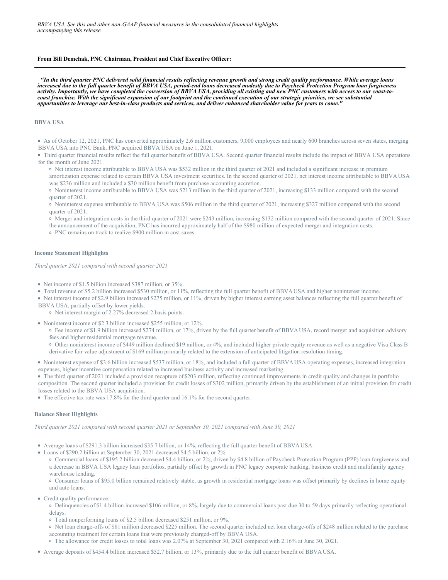### **From Bill Demchak, PNC Chairman, President and Chief Executive Officer:**

"In the third quarter PNC delivered solid financial results reflecting revenue growth and strong credit quality performance. While average loans increased due to the full quarter benefit of BBVA USA, period-end loans decreased modestly due to Paycheck Protection Program loan forgiveness activity. Importantly, we have completed the conversion of BBVA USA, providing all existing and new PNC customers with access to our coast-tocoast franchise. With the significant expansion of our footprint and the continued execution of our strategic priorities, we see substantial opportunities to leverage our best-in-class products and services, and deliver enhanced shareholder value for years to come.'

### **BBVA USA**

As of October 12, 2021, PNC has converted approximately 2.6 million customers, 9,000 employees and nearly 600 branches across seven states, merging BBVA USA into PNC Bank. PNC acquired BBVA USA on June 1, 2021.

Third quarter financial results reflect the full quarter benefit of BBVA USA. Second quarter financial results include the impact of BBVA USA operations for the month of June 2021.

o Net interest income attributable to BBVA USA was \$532 million in the third quarter of 2021 and included a significant increase in premium amortization expense related to certain BBVA USA investment securities. In the second quarter of 2021, net interest income attributable to BBVA USA was \$236 million and included a \$30 million benefit from purchase accounting accretion.

Noninterest income attributable to BBVA USA was \$213 million in the third quarter of 2021, increasing \$133 million compared with the second quarter of 2021.

Noninterest expense attributable to BBVA USA was \$506 million in the third quarter of 2021, increasing \$327 million compared with the second quarter of 2021.

Merger and integration costs in the third quarter of 2021 were \$243 million, increasing \$132 million compared with the second quarter of 2021. Since the announcement of the acquisition, PNC has incurred approximately half of the \$980 million of expected merger and integration costs.

PNC remains on track to realize \$900 million in cost saves.

### **Income Statement Highlights**

*Third quarter 2021 compared with second quarter 2021*

- Net income of \$1.5 billion increased \$387 million, or 35%.
- Total revenue of \$5.2 billion increased \$530 million, or 11%, reflecting the full quarter benefit of BBVAUSA and higher noninterest income.
- Net interest income of \$2.9 billion increased \$275 million, or 11%, driven by higher interest earning asset balances reflecting the full quarter benefit of BBVA USA, partially offset by lower yields.

o Net interest margin of 2.27% decreased 2 basis points.

- Noninterest income of \$2.3 billion increased \$255 million, or 12%.
	- Fee income of \$1.9 billion increased \$274 million, or 17%, driven by the full quarter benefit of BBVA USA, record merger and acquisition advisory fees and higher residential mortgage revenue.
	- Other noninterest income of \$449 million declined \$19 million, or 4%, and included higher private equity revenue as well as a negative Visa Class B derivative fair value adjustment of \$169 million primarily related to the extension of anticipated litigation resolution timing.

Noninterest expense of \$3.6 billion increased \$537 million, or 18%, and included a full quarter of BBVAUSA operating expenses, increased integration expenses, higher incentive compensation related to increased business activity and increased marketing.

The third quarter of 2021 included a provision recapture of \$203 million, reflecting continued improvements in credit quality and changes in portfolio composition. The second quarter included a provision for credit losses of \$302 million, primarily driven by the establishment of an initial provision for credit losses related to the BBVA USA acquisition.

• The effective tax rate was 17.8% for the third quarter and 16.1% for the second quarter.

### **Balance Sheet Highlights**

*Third quarter 2021 compared with second quarter 2021 or September 30, 2021 compared with June 30, 2021*

Average loans of \$291.3 billion increased \$35.7 billion, or 14%, reflecting the full quarter benefit of BBVAUSA.

Loans of \$290.2 billion at September 30, 2021 decreased \$4.5 billion, or 2%.

Commercial loans of \$195.2 billion decreased \$4.4 billion, or 2%, driven by \$4.8 billion of Paycheck Protection Program (PPP) loan forgiveness and a decrease in BBVA USA legacy loan portfolios, partially offset by growth in PNC legacy corporate banking, business credit and multifamily agency warehouse lending.

Consumer loans of \$95.0 billion remained relatively stable, as growth in residential mortgage loans was offset primarily by declines in home equity and auto loans.

Credit quality performance:

Delinquencies of \$1.4 billion increased \$106 million, or 8%, largely due to commercial loans past due 30 to 59 days primarily reflecting operational delays.

- Total nonperforming loans of \$2.5 billion decreased \$251 million, or 9%.
- Net loan charge-offs of \$81 million decreased \$225 million. The second quarter included net loan charge-offs of \$248 million related to the purchase accounting treatment for certain loans that were previously charged-off by BBVA USA.

The allowance for credit losses to total loans was 2.07% at September 30, 2021 compared with 2.16% at June 30, 2021.

Average deposits of \$454.4 billion increased \$52.7 billion, or 13%, primarily due to the full quarter benefit of BBVAUSA.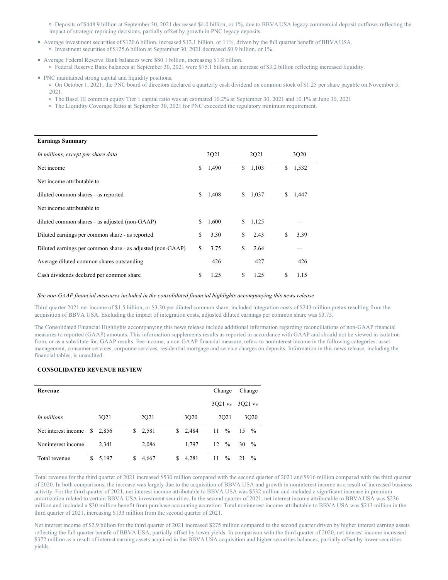Deposits of \$448.9 billion at September 30, 2021 decreased \$4.0 billion, or 1%, due to BBVA USA legacy commercial deposit outflows reflecting the impact of strategic repricing decisions, partially offset by growth in PNC legacy deposits.

- Average investment securities of \$120.6 billion, increased \$12.1 billion, or 11%, driven by the full quarter benefit of BBVA USA. o Investment securities of \$125.6 billion at September 30, 2021 decreased \$0.9 billion, or 1%.
- Average Federal Reserve Bank balances were \$80.1 billion, increasing \$1.8 billion. Federal Reserve Bank balances at September 30, 2021 were \$75.1 billion, an increase of \$3.2 billion reflecting increased liquidity.
- PNC maintained strong capital and liquidity positions.

On October 1, 2021, the PNC board of directors declared a quarterly cash dividend on common stock of \$1.25 per share payable on November 5, 2021.

- The Basel III common equity Tier 1 capital ratio was an estimated 10.2% at September 30, 2021 and 10.1% at June 30, 2021.
- The Liquidity Coverage Ratio at September 30, 2021 for PNC exceeded the regulatory minimum requirement.

| <b>Earnings Summary</b>                                    |    |       |    |       |    |       |  |
|------------------------------------------------------------|----|-------|----|-------|----|-------|--|
| In millions, except per share data                         |    | 3Q21  |    | 2Q21  |    | 3Q20  |  |
| Net income                                                 | S. | 1,490 | \$ | 1,103 | \$ | 1,532 |  |
| Net income attributable to                                 |    |       |    |       |    |       |  |
| diluted common shares - as reported                        | S. | 1,408 | \$ | 1,037 | S  | 1,447 |  |
| Net income attributable to                                 |    |       |    |       |    |       |  |
| diluted common shares - as adjusted (non-GAAP)             | \$ | 1,600 | S. | 1,125 |    |       |  |
| Diluted earnings per common share - as reported            | \$ | 3.30  | \$ | 2.43  | S  | 3.39  |  |
| Diluted earnings per common share - as adjusted (non-GAAP) | \$ | 3.75  | \$ | 2.64  |    |       |  |
| Average diluted common shares outstanding                  |    | 426   |    | 427   |    | 426   |  |
| Cash dividends declared per common share                   | \$ | 1.25  | S  | 1.25  | S  | 1.15  |  |

# *See non-GAAP financial measures included in the consolidated financial highlights accompanying this news release*

Third quarter 2021 net income of \$1.5 billion, or \$3.30 per diluted common share, included integration costs of \$243 million pretax resulting from the acquisition of BBVA USA. Excluding the impact of integration costs, adjusted diluted earnings per common share was \$3.75.

The Consolidated Financial Highlights accompanying this news release include additional information regarding reconciliations of non-GAAP financial measures to reported (GAAP) amounts. This information supplements results as reported in accordance with GAAP and should not be viewed in isolation from, or as a substitute for, GAAP results. Fee income, a non-GAAP financial measure, refers to noninterest income in the following categories: asset management, consumer services, corporate services, residential mortgage and service charges on deposits. Information in this news release, including the financial tables, is unaudited.

# **CONSOLIDATED REVENUE REVIEW**

| Revenue             |    |       |    |       |  |    |         |                  | Change  |                  | Change        |
|---------------------|----|-------|----|-------|--|----|---------|------------------|---------|------------------|---------------|
|                     |    |       |    |       |  |    |         |                  | 3021 vs | 3021 vs          |               |
| In millions         |    | 3Q21  |    | 2Q21  |  |    | 3Q20    |                  | 2021    |                  | 3Q20          |
| Net interest income | \$ | 2.856 | S. | 2,581 |  |    | \$2,484 | $11 \frac{9}{6}$ |         | $15 \frac{9}{6}$ |               |
| Noninterest income  |    | 2.341 |    | 2,086 |  |    | 1.797   | $12 \frac{9}{6}$ |         | 30               | $\%$          |
| Total revenue       | S  | 5,197 | S  | 4,667 |  | \$ | 4,281   | 11               | $\%$    | 21               | $\frac{0}{0}$ |

Total revenue for the third quarter of 2021 increased \$530 million compared with the second quarter of 2021 and \$916 million compared with the third quarter of 2020. In both comparisons, the increase was largely due to the acquisition of BBVA USA and growth in noninterest income as a result of increased business activity. For the third quarter of 2021, net interest income attributable to BBVA USA was \$532 million and included a significant increase in premium amortization related to certain BBVA USA investment securities. In the second quarter of 2021, net interest income attributable to BBVA USA was \$236 million and included a \$30 million benefit from purchase accounting accretion. Total noninterest income attributable to BBVA USA was \$213 million in the third quarter of 2021, increasing \$133 million from the second quarter of 2021.

Net interest income of \$2.9 billion for the third quarter of 2021 increased \$275 million compared to the second quarter driven by higher interest earning assets reflecting the full quarter benefit of BBVA USA, partially offset by lower yields. In comparison with the third quarter of 2020, net interest income increased \$372 million as a result of interest earning assets acquired in the BBVA USA acquisition and higher securities balances, partially offset by lower securities yields.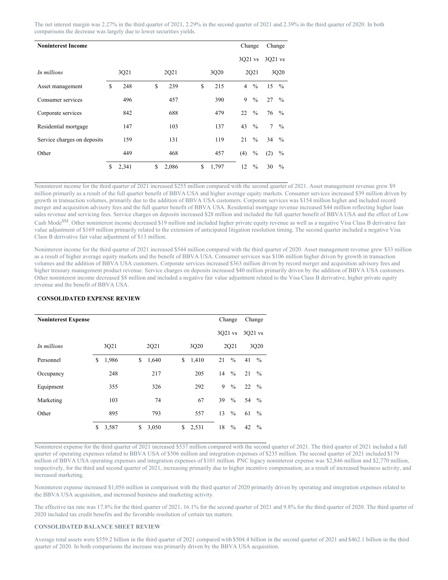The net interest margin was 2.27% in the third quarter of 2021, 2.29% in the second quarter of 2021 and 2.39% in the third quarter of 2020. In both comparisons the decrease was largely due to lower securities yields.

| <b>Noninterest Income</b>   |                   |       |    |       |  |             | Change         |               | Change           |               |
|-----------------------------|-------------------|-------|----|-------|--|-------------|----------------|---------------|------------------|---------------|
|                             |                   |       |    |       |  |             | 3021 vs        |               | 3Q21 vs          |               |
| In millions                 | 3Q21<br>248<br>\$ |       |    | 2Q21  |  | 3Q20        |                | 2Q21          |                  | 3Q20          |
| Asset management            |                   |       | \$ | 239   |  | \$<br>215   | $\overline{4}$ | $\frac{0}{0}$ | $15 \frac{9}{6}$ |               |
| Consumer services           |                   | 496   |    | 457   |  | 390         | 9              | $\frac{0}{0}$ | 27               | $\frac{0}{0}$ |
| Corporate services          |                   | 842   |    | 688   |  | 479         | 22             | $\frac{0}{0}$ | $76\frac{9}{6}$  |               |
| Residential mortgage        |                   | 147   |    | 103   |  | 137         | 43             | $\frac{0}{0}$ | $7^{\circ}$      | $\frac{0}{0}$ |
| Service charges on deposits |                   | 159   |    | 131   |  | 119         | 21             | $\%$          | 34 $\frac{9}{6}$ |               |
| Other                       |                   | 449   |    | 468   |  | 457         | (4)            | $\%$          | (2)              | $\%$          |
|                             | S                 | 2,341 | \$ | 2,086 |  | \$<br>1,797 | 12             | $\frac{0}{0}$ | 30               | $\frac{0}{0}$ |

Noninterest income for the third quarter of 2021 increased \$255 million compared with the second quarter of 2021. Asset management revenue grew \$9 million primarily as a result of the full quarter benefit of BBVA USA and higher average equity markets. Consumer services increased \$39 million driven by growth in transaction volumes, primarily due to the addition of BBVA USA customers. Corporate services was \$154 million higher and included record merger and acquisition advisory fees and the full quarter benefit of BBVA USA. Residential mortgage revenue increased \$44 million reflecting higher loan sales revenue and servicing fees. Service charges on deposits increased \$28 million and included the full quarter benefit of BBVA USA and the effect of Low Cash ModeSM. Other noninterest income decreased \$19 million and included higher private equity revenue as well as a negative Visa Class B derivative fair value adjustment of \$169 million primarily related to the extension of anticipated litigation resolution timing. The second quarter included a negative Visa Class B derivative fair value adjustment of \$13 million.

Noninterest income for the third quarter of 2021 increased \$544 million compared with the third quarter of 2020. Asset management revenue grew \$33 million as a result of higher average equity markets and the benefit of BBVA USA. Consumer services was \$106 million higher driven by growth in transaction volumes and the addition of BBVA USA customers. Corporate services increased \$363 million driven by record merger and acquisition advisory fees and higher treasury management product revenue. Service charges on deposits increased \$40 million primarily driven by the addition of BBVA USA customers. Other noninterest income decreased \$8 million and included a negative fair value adjustment related to the Visa Class B derivative, higher private equity revenue and the benefit of BBVA USA.

| <b>Noninterest Expense</b> |    |       |             |       |    |       |    | Change        |    | Change        |
|----------------------------|----|-------|-------------|-------|----|-------|----|---------------|----|---------------|
|                            |    |       |             |       |    |       |    | 3021 vs       |    | 3Q21 vs       |
| In millions                |    | 3Q21  | 2Q21        |       |    | 3Q20  |    | 2021          |    | 3Q20          |
| Personnel                  | \$ | 1,986 | \$          | 1,640 | \$ | 1,410 | 21 | $\frac{0}{0}$ | 41 | $\frac{0}{0}$ |
| Occupancy                  |    | 248   |             | 217   |    | 205   | 14 | $\frac{0}{0}$ | 21 | $\frac{0}{0}$ |
| Equipment                  |    | 355   |             | 326   |    | 292   | 9  | $\%$          | 22 | $\frac{0}{0}$ |
| Marketing                  |    | 103   |             | 74    |    | 67    | 39 | $\%$          | 54 | $\frac{0}{0}$ |
| Other                      |    | 895   |             | 793   |    | 557   | 13 | $\%$          | 61 | $\frac{0}{0}$ |
|                            | \$ | 3,587 | \$<br>3,050 |       | \$ | 2,531 | 18 | $\frac{0}{0}$ | 42 | $\frac{0}{0}$ |

# **CONSOLIDATED EXPENSE REVIEW**

Noninterest expense for the third quarter of 2021 increased \$537 million compared with the second quarter of 2021. The third quarter of 2021 included a full quarter of operating expenses related to BBVA USA of \$506 million and integration expenses of \$235 million. The second quarter of 2021 included \$179 million of BBVA USA operating expenses and integration expenses of \$101 million. PNC legacy noninterest expense was \$2,846 million and \$2,770 million, respectively, for the third and second quarter of 2021, increasing primarily due to higher incentive compensation, as a result of increased business activity, and increased marketing.

Noninterest expense increased \$1,056 million in comparison with the third quarter of 2020 primarily driven by operating and integration expenses related to the BBVA USA acquisition, and increased business and marketing activity.

The effective tax rate was 17.8% for the third quarter of 2021, 16.1% for the second quarter of 2021 and 9.8% for the third quarter of 2020. The third quarter of 2020 included tax credit benefits and the favorable resolution of certain tax matters.

# **CONSOLIDATED BALANCE SHEET REVIEW**

Average total assets were \$559.2 billion in the third quarter of 2021 compared with \$504.4 billion in the second quarter of 2021 and \$462.1 billion in the third quarter of 2020. In both comparisons the increase was primarily driven by the BBVA USA acquisition.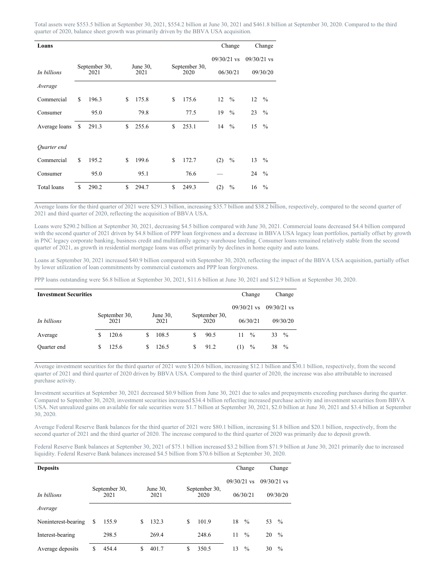Total assets were \$553.5 billion at September 30, 2021, \$554.2 billion at June 30, 2021 and \$461.8 billion at September 30, 2020. Compared to the third quarter of 2020, balance sheet growth was primarily driven by the BBVA USA acquisition.

| Loans         |               |                       |    |                     |    |                       |               | Change        |               | Change        |
|---------------|---------------|-----------------------|----|---------------------|----|-----------------------|---------------|---------------|---------------|---------------|
|               |               |                       |    |                     |    |                       | $09/30/21$ vs |               | $09/30/21$ vs |               |
| In billions   |               | September 30,<br>2021 |    | June $30$ ,<br>2021 |    | September 30,<br>2020 |               | 06/30/21      |               | 09/30/20      |
| Average       |               |                       |    |                     |    |                       |               |               |               |               |
| Commercial    | \$            | 196.3                 | \$ | 175.8               | \$ | 175.6                 | 12            | $\frac{0}{0}$ | 12            | $\frac{0}{0}$ |
| Consumer      |               | 95.0                  |    | 79.8                |    | 77.5                  | 19            | $\frac{0}{0}$ | 23            | $\frac{0}{0}$ |
| Average loans | <sup>\$</sup> | 291.3                 | \$ | 255.6               | \$ | 253.1                 | 14            | $\frac{0}{0}$ | 15            | $\frac{0}{0}$ |
|               |               |                       |    |                     |    |                       |               |               |               |               |
| Quarter end   |               |                       |    |                     |    |                       |               |               |               |               |
| Commercial    | \$            | 195.2                 | S  | 199.6               | \$ | 172.7                 | (2)           | $\frac{0}{0}$ | 13            | $\frac{0}{0}$ |
| Consumer      |               | 95.0                  |    | 95.1                |    | 76.6                  |               |               | 24            | $\frac{0}{0}$ |
| Total loans   | \$            | 290.2                 | \$ | 294.7               | S  | 249.3                 | (2)           | $\frac{0}{0}$ | 16            | $\frac{0}{0}$ |

Average loans for the third quarter of 2021 were \$291.3 billion, increasing \$35.7 billion and \$38.2 billion, respectively, compared to the second quarter of 2021 and third quarter of 2020, reflecting the acquisition of BBVA USA.

Loans were \$290.2 billion at September 30, 2021, decreasing \$4.5 billion compared with June 30, 2021. Commercial loans decreased \$4.4 billion compared with the second quarter of 2021 driven by \$4.8 billion of PPP loan forgiveness and a decrease in BBVA USA legacy loan portfolios, partially offset by growth in PNC legacy corporate banking, business credit and multifamily agency warehouse lending. Consumer loans remained relatively stable from the second quarter of 2021, as growth in residential mortgage loans was offset primarily by declines in home equity and auto loans.

Loans at September 30, 2021 increased \$40.9 billion compared with September 30, 2020, reflecting the impact of the BBVA USA acquisition, partially offset by lower utilization of loan commitments by commercial customers and PPP loan forgiveness.

PPP loans outstanding were \$6.8 billion at September 30, 2021, \$11.6 billion at June 30, 2021 and \$12.9 billion at September 30, 2020.

| <b>Investment Securities</b> |   |                       |   |                     |   |                       |               | Change        |               | Change        |
|------------------------------|---|-----------------------|---|---------------------|---|-----------------------|---------------|---------------|---------------|---------------|
|                              |   |                       |   |                     |   |                       | $09/30/21$ vs |               | $09/30/21$ vs |               |
| In billions                  |   | September 30,<br>2021 |   | June $30$ ,<br>2021 |   | September 30,<br>2020 |               | 06/30/21      |               | 09/30/20      |
| Average                      | S | 120.6                 | S | 108.5               | S | 90.5                  | 11            | $\frac{0}{0}$ | 33            | $\frac{0}{0}$ |
| Quarter end                  | S | 125.6                 | S | 126.5               | S | 91.2                  | (1)           | $\frac{0}{0}$ | 38            | $\%$          |

Average investment securities for the third quarter of 2021 were \$120.6 billion, increasing \$12.1 billion and \$30.1 billion, respectively, from the second quarter of 2021 and third quarter of 2020 driven by BBVA USA. Compared to the third quarter of 2020, the increase was also attributable to increased purchase activity.

Investment securities at September 30, 2021 decreased \$0.9 billion from June 30, 2021 due to sales and prepayments exceeding purchases during the quarter. Compared to September 30, 2020, investment securities increased \$34.4 billion reflecting increased purchase activity and investment securities from BBVA USA. Net unrealized gains on available for sale securities were \$1.7 billion at September 30, 2021, \$2.0 billion at June 30, 2021 and \$3.4 billion at September 30, 2020.

Average Federal Reserve Bank balances for the third quarter of 2021 were \$80.1 billion, increasing \$1.8 billion and \$20.1 billion, respectively, from the second quarter of 2021 and the third quarter of 2020. The increase compared to the third quarter of 2020 was primarily due to deposit growth.

Federal Reserve Bank balances at September 30, 2021 of \$75.1 billion increased \$3.2 billion from \$71.9 billion at June 30, 2021 primarily due to increased liquidity. Federal Reserve Bank balances increased \$4.5 billion from \$70.6 billion at September 30, 2020.

| <b>Deposits</b>     |   |                                              |  |               |                       |               |          |    | Change        |    | Change        |
|---------------------|---|----------------------------------------------|--|---------------|-----------------------|---------------|----------|----|---------------|----|---------------|
|                     |   |                                              |  | $09/30/21$ vs |                       | $09/30/21$ vs |          |    |               |    |               |
| In billions         |   | September 30,<br>June $30$ ,<br>2021<br>2021 |  |               | September 30,<br>2020 |               | 06/30/21 |    | 09/30/20      |    |               |
| Average             |   |                                              |  |               |                       |               |          |    |               |    |               |
| Noninterest-bearing | S | 155.9                                        |  | \$.           | 132.3                 | \$            | 101.9    | 18 | $\frac{0}{0}$ | 53 | $\frac{0}{0}$ |
| Interest-bearing    |   | 298.5                                        |  |               | 269.4                 |               | 248.6    | 11 | $\frac{0}{0}$ | 20 | $\frac{0}{0}$ |
| Average deposits    | S | 454.4                                        |  | \$.           | 401.7                 | S             | 350.5    | 13 | $\frac{0}{0}$ | 30 | $\frac{0}{0}$ |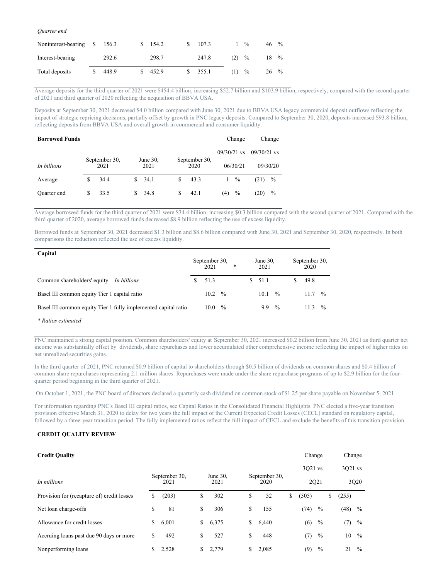### *Quarter end*

| Noninterest-bearing | 156.3 | 154.2 |  | 107.3 |     | $\frac{0}{0}$ | 46  | $\frac{0}{0}$ |
|---------------------|-------|-------|--|-------|-----|---------------|-----|---------------|
| Interest-bearing    | 292.6 | 298.7 |  | 247.8 | (2) | $\frac{0}{0}$ | 18. | $\frac{0}{0}$ |
| Total deposits      | 448.9 | 452.9 |  | 355.1 | (1) | $\frac{0}{0}$ | 26  | $\frac{0}{0}$ |

Average deposits for the third quarter of 2021 were \$454.4 billion, increasing \$52.7 billion and \$103.9 billion, respectively, compared with the second quarter of 2021 and third quarter of 2020 reflecting the acquisition of BBVA USA.

Deposits at September 30, 2021 decreased \$4.0 billion compared with June 30, 2021 due to BBVA USA legacy commercial deposit outflows reflecting the impact of strategic repricing decisions, partially offset by growth in PNC legacy deposits. Compared to September 30, 2020, deposits increased \$93.8 billion, reflecting deposits from BBVA USA and overall growth in commercial and consumer liquidity.

| <b>Borrowed Funds</b> |   |                       |    |                  |   |                       |               | Change        |               | Change   |
|-----------------------|---|-----------------------|----|------------------|---|-----------------------|---------------|---------------|---------------|----------|
|                       |   |                       |    |                  |   |                       | $09/30/21$ vs |               | $09/30/21$ vs |          |
| In billions           |   | September 30,<br>2021 |    | June 30,<br>2021 |   | September 30,<br>2020 |               | 06/30/21      |               | 09/30/20 |
| Average               | S | 34.4                  | S. | 34.1             | S | 43.3                  |               | $\frac{0}{0}$ | (21)          | $\%$     |
| Quarter end           | S | 33.5                  |    | 34.8             | S | 42.1                  | (4)           | $\%$          | (20)          | $\%$     |

Average borrowed funds for the third quarter of 2021 were \$34.4 billion, increasing \$0.3 billion compared with the second quarter of 2021. Compared with the third quarter of 2020, average borrowed funds decreased \$8.9 billion reflecting the use of excess liquidity.

Borrowed funds at September 30, 2021 decreased \$1.3 billion and \$8.6 billion compared with June 30, 2021 and September 30, 2020, respectively. In both comparisons the reduction reflected the use of excess liquidity.

| Capital                                                        | September 30,<br>2021 |               | * |    | June $30$ .<br>2021 |               | September 30,<br>2020 |               |
|----------------------------------------------------------------|-----------------------|---------------|---|----|---------------------|---------------|-----------------------|---------------|
| Common shareholders' equity<br>In billions                     | 51.3                  |               |   | S. | 51.1                |               | 49.8                  |               |
| Basel III common equity Tier 1 capital ratio                   | $10.2 \frac{9}{6}$    |               |   |    | 10.1                | $\frac{0}{0}$ | $11.7 \t%$            |               |
| Basel III common equity Tier 1 fully implemented capital ratio | 10.0                  | $\frac{0}{2}$ |   |    | 9.9                 | $\frac{0}{0}$ | 113                   | $\frac{0}{2}$ |

*\* Ratios estimated*

PNC maintained a strong capital position. Common shareholders' equity at September 30, 2021 increased \$0.2 billion from June 30, 2021 as third quarter net income was substantially offset by dividends, share repurchases and lower accumulated other comprehensive income reflecting the impact of higher rates on net unrealized securities gains.

In the third quarter of 2021, PNC returned \$0.9 billion of capital to shareholders through \$0.5 billion of dividends on common shares and \$0.4 billion of common share repurchases representing 2.1 million shares. Repurchases were made under the share repurchase programs of up to \$2.9 billion for the fourquarter period beginning in the third quarter of 2021.

On October 1, 2021, the PNC board of directors declared a quarterly cash dividend on common stock of \$1.25 per share payable on November 5, 2021.

For information regarding PNC's Basel III capital ratios, see Capital Ratios in the Consolidated Financial Highlights. PNC elected a five-year transition provision effective March 31, 2020 to delay for two years the full impact of the Current Expected Credit Losses (CECL) standard on regulatory capital, followed by a three-year transition period. The fully implemented ratios reflect the full impact of CECL and exclude the benefits of this transition provision.

# **CREDIT QUALITY REVIEW**

| <b>Credit Quality</b>                      |                                               |       |    |       |    |       |    | Change |               | Change      |               |
|--------------------------------------------|-----------------------------------------------|-------|----|-------|----|-------|----|--------|---------------|-------------|---------------|
|                                            | September 30,<br>June $30$ ,<br>September 30, |       |    |       |    |       |    |        | 3021 vs       | 3021 vs     |               |
| In millions                                | 2021                                          |       |    | 2021  |    | 2020  |    |        | 2Q21          |             | 3Q20          |
| Provision for (recapture of) credit losses | \$                                            | (203) | \$ | 302   | \$ | 52    | \$ | (505)  |               | \$<br>(255) |               |
| Net loan charge-offs                       | \$                                            | 81    | \$ | 306   | \$ | 155   |    | (74)   | $\%$          | $(48)$ %    |               |
| Allowance for credit losses                | \$                                            | 6,001 | \$ | 6,375 | \$ | 6,440 |    | (6)    | $\frac{0}{0}$ | (7)         | $\%$          |
| Accruing loans past due 90 days or more    | \$                                            | 492   | \$ | 527   | \$ | 448   |    | (7)    | $\%$          | 10          | $\frac{0}{0}$ |
| Nonperforming loans                        | \$                                            | 2,528 | \$ | 2,779 | \$ | 2,085 |    | (9)    | $\%$          | 21          | $\frac{0}{0}$ |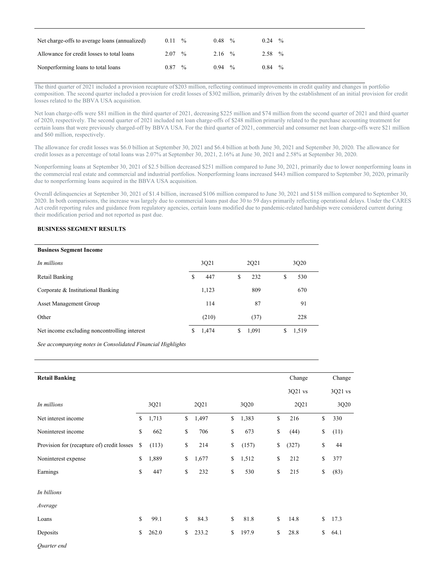| Net charge-offs to average loans (annualized) | 0.11 | $\frac{0}{0}$ | 0.48              | $\frac{0}{0}$ | 0.24               | $\frac{0}{0}$ |
|-----------------------------------------------|------|---------------|-------------------|---------------|--------------------|---------------|
| Allowance for credit losses to total loans    | 2.07 | $\frac{0}{0}$ | $2.16\frac{9}{6}$ |               | $2.58 \frac{6}{6}$ |               |
| Nonperforming loans to total loans            | 0.87 | $\frac{0}{0}$ | 0.94              | $\frac{0}{0}$ | 0.84               | $\frac{0}{0}$ |

The third quarter of 2021 included a provision recapture of \$203 million, reflecting continued improvements in credit quality and changes in portfolio composition. The second quarter included a provision for credit losses of \$302 million, primarily driven by the establishment of an initial provision for credit losses related to the BBVA USA acquisition.

Net loan charge-offs were \$81 million in the third quarter of 2021, decreasing \$225 million and \$74 million from the second quarter of 2021 and third quarter of 2020, respectively. The second quarter of 2021 included net loan charge-offs of \$248 million primarily related to the purchase accounting treatment for certain loans that were previously charged-off by BBVA USA. For the third quarter of 2021, commercial and consumer net loan charge-offs were \$21 million and \$60 million, respectively.

The allowance for credit losses was \$6.0 billion at September 30, 2021 and \$6.4 billion at both June 30, 2021 and September 30, 2020. The allowance for credit losses as a percentage of total loans was 2.07% at September 30, 2021, 2.16% at June 30, 2021 and 2.58% at September 30, 2020.

Nonperforming loans at September 30, 2021 of \$2.5 billion decreased \$251 million compared to June 30, 2021, primarily due to lower nonperforming loans in the commercial real estate and commercial and industrial portfolios. Nonperforming loans increased \$443 million compared to September 30, 2020, primarily due to nonperforming loans acquired in the BBVA USA acquisition.

Overall delinquencies at September 30, 2021 of \$1.4 billion, increased \$106 million compared to June 30, 2021 and \$158 million compared to September 30, 2020. In both comparisons, the increase was largely due to commercial loans past due 30 to 59 days primarily reflecting operational delays. Under the CARES Act credit reporting rules and guidance from regulatory agencies, certain loans modified due to pandemic-related hardships were considered current during their modification period and not reported as past due.

# **BUSINESS SEGMENT RESULTS**

| <b>Business Segment Income</b>               |             |             |    |       |
|----------------------------------------------|-------------|-------------|----|-------|
| In millions                                  | 3Q21        | 2Q21        |    | 3Q20  |
| Retail Banking                               | \$<br>447   | \$<br>232   | \$ | 530   |
| Corporate & Institutional Banking            | 1,123       | 809         |    | 670   |
| <b>Asset Management Group</b>                | 114         | 87          |    | 91    |
| Other                                        | (210)       | (37)        |    | 228   |
| Net income excluding noncontrolling interest | \$<br>1,474 | \$<br>1,091 | S  | 1,519 |

*See accompanying notes in Consolidated Financial Highlights*

| <b>Retail Banking</b>                      |             |             |             | Change      | Change     |
|--------------------------------------------|-------------|-------------|-------------|-------------|------------|
|                                            |             |             |             | 3Q21 vs     | 3Q21 vs    |
| In millions                                | 3Q21        | 2Q21        | 3Q20        | 2Q21        | 3Q20       |
| Net interest income                        | \$<br>1,713 | \$<br>1,497 | \$<br>1,383 | \$<br>216   | \$<br>330  |
| Noninterest income                         | \$<br>662   | \$<br>706   | \$<br>673   | \$<br>(44)  | \$<br>(11) |
| Provision for (recapture of) credit losses | \$<br>(113) | \$<br>214   | \$<br>(157) | \$<br>(327) | \$<br>44   |
| Noninterest expense                        | \$<br>1,889 | \$<br>1,677 | \$<br>1,512 | \$<br>212   | \$<br>377  |
| Earnings                                   | \$<br>447   | \$<br>232   | \$<br>530   | \$<br>215   | \$<br>(83) |
| In billions<br>Average                     |             |             |             |             |            |
| Loans                                      | \$<br>99.1  | \$<br>84.3  | \$<br>81.8  | \$<br>14.8  | \$<br>17.3 |
| Deposits                                   | \$<br>262.0 | \$<br>233.2 | \$<br>197.9 | \$<br>28.8  | \$<br>64.1 |
| Quarter end                                |             |             |             |             |            |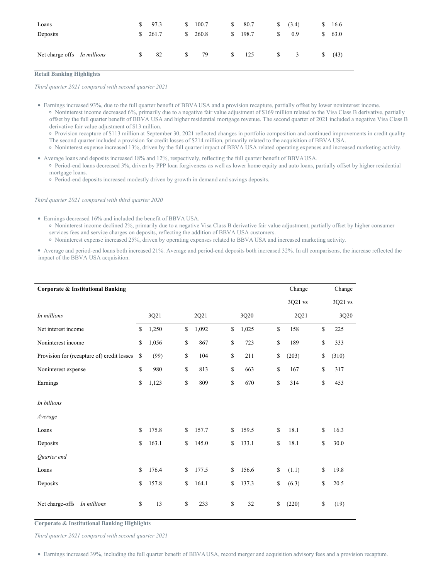| Loans                       | $\frac{1}{2}$ 97.3 |    | \$100.7 | S.           | 80.7    | S.           | (3.4)                   | S. | 16.6 |
|-----------------------------|--------------------|----|---------|--------------|---------|--------------|-------------------------|----|------|
| Deposits                    | \$261.7            |    | \$260.8 |              | \$198.7 | S.           | 0.9                     | S. | 63.0 |
| Net charge offs In millions | \$<br>82           | S. | 79      | $\mathbb{S}$ | 125     | <sup>S</sup> | $\overline{\mathbf{3}}$ | S. | (43) |

### **Retail Banking Highlights**

*Third quarter 2021 compared with second quarter 2021*

Earnings increased 93%, due to the full quarter benefit of BBVAUSA and a provision recapture, partially offset by lower noninterest income. Noninterest income decreased 6%, primarily due to a negative fair value adjustment of \$169 million related to the Visa Class B derivative, partially offset by the full quarter benefit of BBVA USA and higher residential mortgage revenue. The second quarter of 2021 included a negative Visa Class B derivative fair value adjustment of \$13 million.

Provision recapture of \$113 million at September 30, 2021 reflected changes in portfolio composition and continued improvements in credit quality. The second quarter included a provision for credit losses of \$214 million, primarily related to the acquisition of BBVA USA.

- Noninterest expense increased 13%, driven by the full quarter impact of BBVA USA related operating expenses and increased marketing activity.
- Average loans and deposits increased 18% and 12%, respectively, reflecting the full quarter benefit of BBVAUSA. Period-end loans decreased 3%, driven by PPP loan forgiveness as well as lower home equity and auto loans, partially offset by higher residential mortgage loans.
	- Period-end deposits increased modestly driven by growth in demand and savings deposits.

*Third quarter 2021 compared with third quarter 2020*

- Earnings decreased 16% and included the benefit of BBVA USA.
	- Noninterest income declined 2%, primarily due to a negative Visa Class B derivative fair value adjustment, partially offset by higher consumer services fees and service charges on deposits, reflecting the addition of BBVA USA customers.

Noninterest expense increased 25%, driven by operating expenses related to BBVA USA and increased marketing activity.

Average and period-end loans both increased 21%. Average and period-end deposits both increased 32%. In all comparisons, the increase reflected the impact of the BBVA USA acquisition.

| <b>Corporate &amp; Institutional Banking</b> |             |              |       |              |       | Change      | Change      |
|----------------------------------------------|-------------|--------------|-------|--------------|-------|-------------|-------------|
|                                              |             |              |       |              |       | 3Q21 vs     | 3Q21 vs     |
| In millions                                  | 3Q21        |              | 2Q21  |              | 3Q20  | 2Q21        | 3Q20        |
| Net interest income                          | \$<br>1,250 | \$           | 1,092 | \$           | 1,025 | \$<br>158   | \$<br>225   |
| Noninterest income                           | \$<br>1,056 | $\mathbb{S}$ | 867   | \$           | 723   | \$<br>189   | \$<br>333   |
| Provision for (recapture of) credit losses   | \$<br>(99)  | \$           | 104   | \$           | 211   | \$<br>(203) | \$<br>(310) |
| Noninterest expense                          | \$<br>980   | \$           | 813   | \$           | 663   | \$<br>167   | \$<br>317   |
| Earnings                                     | \$<br>1,123 | \$           | 809   | \$           | 670   | \$<br>314   | \$<br>453   |
| In billions<br>Average                       |             |              |       |              |       |             |             |
| Loans                                        | \$<br>175.8 | \$           | 157.7 | \$           | 159.5 | \$<br>18.1  | \$<br>16.3  |
| Deposits                                     | \$<br>163.1 | \$           | 145.0 | \$           | 133.1 | \$<br>18.1  | \$<br>30.0  |
| Quarter end                                  |             |              |       |              |       |             |             |
| Loans                                        | \$<br>176.4 | \$           | 177.5 | \$           | 156.6 | \$<br>(1.1) | \$<br>19.8  |
| Deposits                                     | \$<br>157.8 | \$           | 164.1 | \$           | 137.3 | \$<br>(6.3) | \$<br>20.5  |
| Net charge-offs In millions                  | \$<br>13    | \$           | 233   | $\mathbb{S}$ | 32    | \$<br>(220) | \$<br>(19)  |

**Corporate & Institutional Banking Highlights**

*Third quarter 2021 compared with second quarter 2021*

Earnings increased 39%, including the full quarter benefit of BBVAUSA, record merger and acquisition advisory fees and a provision recapture.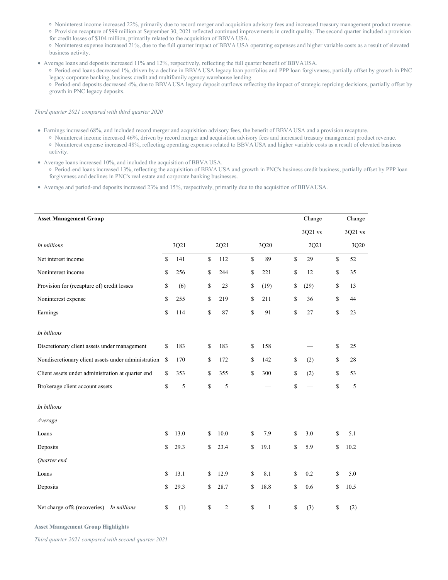Noninterest income increased 22%, primarily due to record merger and acquisition advisory fees and increased treasury management product revenue.

Provision recapture of \$99 million at September 30, 2021 reflected continued improvements in credit quality. The second quarter included a provision for credit losses of \$104 million, primarily related to the acquisition of BBVA USA.

Noninterest expense increased 21%, due to the full quarter impact of BBVA USA operating expenses and higher variable costs as a result of elevated business activity.

Average loans and deposits increased 11% and 12%, respectively, reflecting the full quarter benefit of BBVAUSA.

Period-end loans decreased 1%, driven by a decline in BBVA USA legacy loan portfolios and PPP loan forgiveness, partially offset by growth in PNC legacy corporate banking, business credit and multifamily agency warehouse lending.

Period-end deposits decreased 4%, due to BBVAUSA legacy deposit outflows reflecting the impact of strategic repricing decisions, partially offset by growth in PNC legacy deposits.

# *Third quarter 2021 compared with third quarter 2020*

- Earnings increased 68%, and included record merger and acquisition advisory fees, the benefit of BBVA USA and a provision recapture.
	- Noninterest income increased 46%, driven by record merger and acquisition advisory fees and increased treasury management product revenue. Noninterest expense increased 48%, reflecting operating expenses related to BBVA USA and higher variable costs as a result of elevated business activity.
- Average loans increased 10%, and included the acquisition of BBVA USA.

Period-end loans increased 13%, reflecting the acquisition of BBVA USA and growth in PNC's business credit business, partially offset by PPP loan forgiveness and declines in PNC's real estate and corporate banking businesses.

Average and period-end deposits increased 23% and 15%, respectively, primarily due to the acquisition of BBVAUSA.

| <b>Asset Management Group</b>                       |               |      |                      |                    | Change     |              | Change  |
|-----------------------------------------------------|---------------|------|----------------------|--------------------|------------|--------------|---------|
|                                                     |               |      |                      |                    | 3Q21 vs    |              | 3Q21 vs |
| In millions                                         |               | 3Q21 | 2Q21                 | 3Q20               | 2Q21       |              | 3Q20    |
| Net interest income                                 | \$            | 141  | \$<br>112            | \$<br>89           | \$<br>29   | \$           | 52      |
| Noninterest income                                  | \$            | 256  | \$<br>244            | \$<br>221          | \$<br>12   | \$           | 35      |
| Provision for (recapture of) credit losses          | \$            | (6)  | \$<br>23             | \$<br>(19)         | \$<br>(29) | \$           | 13      |
| Noninterest expense                                 | \$            | 255  | \$<br>219            | \$<br>211          | \$<br>36   | \$           | 44      |
| Earnings                                            | \$            | 114  | \$<br>87             | \$<br>91           | \$<br>27   | \$           | 23      |
| In billions                                         |               |      |                      |                    |            |              |         |
| Discretionary client assets under management        | S             | 183  | \$<br>183            | \$<br>158          |            | \$           | 25      |
| Nondiscretionary client assets under administration | <sup>\$</sup> | 170  | \$<br>172            | \$<br>142          | \$<br>(2)  | \$           | 28      |
| Client assets under administration at quarter end   | \$            | 353  | \$<br>355            | \$<br>300          | \$<br>(2)  | \$           | 53      |
| Brokerage client account assets                     | \$            | 5    | \$<br>5              |                    | \$         | \$           | 5       |
| In billions                                         |               |      |                      |                    |            |              |         |
| Average                                             |               |      |                      |                    |            |              |         |
| Loans                                               | \$            | 13.0 | \$<br>10.0           | \$<br>7.9          | \$<br>3.0  | $\mathbb{S}$ | 5.1     |
| Deposits                                            | \$            | 29.3 | \$<br>23.4           | \$<br>19.1         | \$<br>5.9  | \$           | 10.2    |
| Quarter end                                         |               |      |                      |                    |            |              |         |
| Loans                                               | \$            | 13.1 | \$<br>12.9           | \$<br>8.1          | \$<br>0.2  | \$           | 5.0     |
| Deposits                                            | \$            | 29.3 | \$<br>28.7           | \$<br>18.8         | \$<br>0.6  | \$           | 10.5    |
| Net charge-offs (recoveries)<br>In millions         | \$            | (1)  | \$<br>$\mathfrak{2}$ | \$<br>$\mathbf{1}$ | \$<br>(3)  | \$           | (2)     |

**Asset Management Group Highlights**

*Third quarter 2021 compared with second quarter 2021*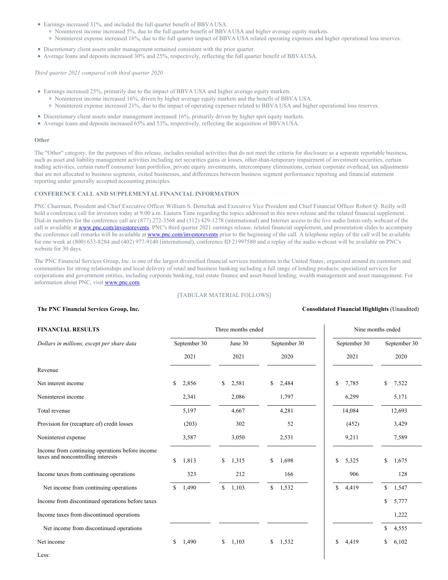Earnings increased 31%, and included the full quarter benefit of BBVAUSA.

- Noninterest income increased 5%, due to the full quarter benefit of BBVAUSA and higher average equity markets.
- Noninterest expense increased 16%, due to the full quarter impact of BBVA USA related operating expenses and higher operational loss reserves.
- Discretionary client assets under management remained consistent with the prior quarter.
- Average loans and deposits increased 30% and 25%, respectively, reflecting the full quarter benefit of BBVAUSA.

*Third quarter 2021 compared with third quarter 2020*

- Earnings increased 25%, primarily due to the impact of BBVA USA and higher average equity markets.
	- Noninterest income increased 16%, driven by higher average equity markets and the benefit of BBVA USA.
	- Noninterest expense increased 21%, due to the impact of operating expenses related to BBVA USA and higher operational loss reserves.
- Discretionary client assets under management increased 16%, primarily driven by higher spot equity markets.
- Average loans and deposits increased 65% and 53%, respectively, reflecting the acquisition of BBVAUSA.

### **Other**

The "Other" category, for the purposes of this release, includes residual activities that do not meet the criteria for disclosure as a separate reportable business, such as asset and liability management activities including net securities gains or losses, other-than-temporary impairment of investment securities, certain trading activities, certain runoff consumer loan portfolios, private equity investments, intercompany eliminations, certain corporate overhead, tax adjustments that are not allocated to business segments, exited businesses, and differences between business segment performance reporting and financial statement reporting under generally accepted accounting principles.

# **CONFERENCE CALL AND SUPPLEMENTAL FINANCIAL INFORMATION**

PNC Chairman, President and Chief Executive Officer William S. Demchak and Executive Vice President and Chief Financial Officer Robert Q. Reilly will hold a conference call for investors today at 9:00 a.m. Eastern Time regarding the topics addressed in this news release and the related financial supplement. Dial-in numbers for the conference call are (877) 272-3568 and (312) 429-1278 (international) and Internet access to the live audio listen-only webcast of the call is available at **[www.pnc.com/investorevents](http://www.pnc.com/investorevents)**. PNC's third quarter 2021 earnings release, related financial supplement, and presentation slides to accompany the conference call remarks will be available at **[www.pnc.com/investorevents](http://www.pnc.com/investorevents)** prior to the beginning of the call. A telephone replay of the call will be available for one week at (800) 633-8284 and (402) 977-9140 (international), conference ID 21997580 and a replay of the audio webcast will be available on PNC's website for 30 days.

The PNC Financial Services Group, Inc. is one of the largest diversified financial services institutions in the United States, organized around its customers and communities for strong relationships and local delivery of retail and business banking including a full range of lending products; specialized services for corporations and government entities, including corporate banking, real estate finance and asset-based lending; wealth management and asset management. For information about PNC, visit [www.pnc.com](http://www.pnc.com).

# [TABULAR MATERIAL FOLLOWS]

# **The PNC Financial Services Group, Inc. Consolidated Financial Highlights** (Unaudited)

# **FINANCIAL RESULTS** Three months ended Nine months ended Nine months ended *Dollars in millions, except per share data* September 30 June 30 September 30 September 30 September 30 2021 2021 2020 2021 2020 Revenue Net interest income  $\begin{array}{ccccccccccccc}\n\text{Set} & & & & \text{S} & 2,856 \\
\text{Set} & & & & \text{S} & 2,581 \\
\text{Set} & & & & \text{S} & 2,484 \\
\text{Set} & & & & \text{S} & 7,785 \\
\text{Set} & & & & \text{S} & 7,522\n\end{array}$ Noninterest income 2,341 2,086 1,797 1 6,299 5,171 Total revenue 12,693 and the state of the state of the state of the state of the state of the state of the state of the state of the state of the state of the state of the state of the state of the state of the state of th Provision for (recapture of) credit losses (203) 302 52 (452) 3,429 Noninterest expense 2,589 3,587 3,050 2,531 9,211 7,589 Income from continuing operations before income taxes and noncontrolling interests <br>\$ 1,813 \$ 1,315 \$ 1,698 \$ 5,325 \$ 1,675 Income taxes from continuing operations 323 212 166 906 128 Net income from continuing operations \$ 1,490 \$ 1,103 \$ 1,532 \$ 4,419 \$ 1,547 Income from discontinued operations before taxes  $\frac{1}{2}$  5,777 Income taxes from discontinued operations 1,222 Net income from discontinued operations  $\qquad$  4,555 Net income 5 1,490 \$ 1,103 \$ 1,532 \$ 4,419 \$ 6,102

Less: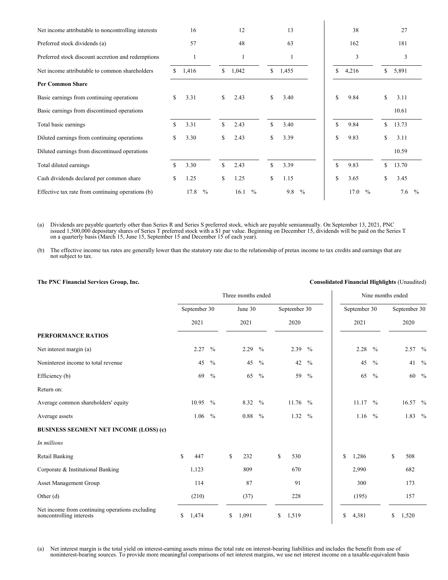| Net income attributable to noncontrolling interests |     | 16                    |    | 12                    | 13                   |    | 38                    |               | 27                   |  |
|-----------------------------------------------------|-----|-----------------------|----|-----------------------|----------------------|----|-----------------------|---------------|----------------------|--|
| Preferred stock dividends (a)                       |     | 57                    |    | 48                    | 63                   |    | 162                   |               | 181                  |  |
| Preferred stock discount accretion and redemptions  |     | 1                     |    |                       | 1                    |    | 3                     |               | 3                    |  |
| Net income attributable to common shareholders      | \$  | 1,416                 | \$ | 1,042                 | \$<br>1,455          | \$ | 4,216                 | \$            | 5,891                |  |
| <b>Per Common Share</b>                             |     |                       |    |                       |                      |    |                       |               |                      |  |
| Basic earnings from continuing operations           | S.  | 3.31                  | \$ | 2.43                  | \$<br>3.40           | \$ | 9.84                  | <sup>\$</sup> | 3.11                 |  |
| Basic earnings from discontinued operations         |     |                       |    |                       |                      |    |                       |               | 10.61                |  |
| Total basic earnings                                | \$. | 3.31                  | \$ | 2.43                  | \$<br>3.40           | \$ | 9.84                  | \$            | 13.73                |  |
| Diluted earnings from continuing operations         | \$. | 3.30                  | \$ | 2.43                  | \$<br>3.39           | \$ | 9.83                  | \$            | 3.11                 |  |
| Diluted earnings from discontinued operations       |     |                       |    |                       |                      |    |                       |               | 10.59                |  |
| Total diluted earnings                              | \$  | 3.30                  | \$ | 2.43                  | \$<br>3.39           | \$ | 9.83                  | \$            | 13.70                |  |
| Cash dividends declared per common share            | \$  | 1.25                  | \$ | 1.25                  | \$<br>1.15           | \$ | 3.65                  | \$            | 3.45                 |  |
| Effective tax rate from continuing operations (b)   |     | $\frac{0}{0}$<br>17.8 |    | $\frac{0}{0}$<br>16.1 | 9.8<br>$\frac{0}{0}$ |    | 17.0<br>$\frac{0}{0}$ |               | $\frac{0}{0}$<br>7.6 |  |
|                                                     |     |                       |    |                       |                      |    |                       |               |                      |  |

(a) Dividends are payable quarterly other than Series R and Series S preferred stock, which are payable semiannually. On September 13, 2021, PNC issued 1,500,000 depositary shares of Series T preferred stock with a \$1 par value. Beginning on December 15, dividends will be paid on the Series T on a quarterly basis (March 15, June 15, September 15 and December 15 of each year).

(b) The effective income tax rates are generally lower than the statutory rate due to the relationship of pretax income to tax credits and earnings that are not subject to tax.

# **The PNC Financial Services Group, Inc. Consolidated Financial Highlights** (Unaudited)

|                                                                             | Three months ended |              |               |    |         |               |              |              |               |    | Nine months ended |               |    |              |               |
|-----------------------------------------------------------------------------|--------------------|--------------|---------------|----|---------|---------------|--------------|--------------|---------------|----|-------------------|---------------|----|--------------|---------------|
|                                                                             |                    | September 30 |               |    | June 30 |               |              | September 30 |               |    | September 30      |               |    | September 30 |               |
|                                                                             |                    | 2021         |               |    | 2021    |               |              | 2020         |               |    | 2021              |               |    | 2020         |               |
| PERFORMANCE RATIOS                                                          |                    |              |               |    |         |               |              |              |               |    |                   |               |    |              |               |
| Net interest margin (a)                                                     |                    | 2.27         | $\frac{0}{0}$ |    | 2.29    | $\frac{0}{0}$ |              | 2.39         | $\frac{0}{0}$ |    | 2.28              | $\frac{0}{0}$ |    | 2.57 %       |               |
| Noninterest income to total revenue                                         |                    | 45           | $\frac{0}{0}$ |    | 45      | $\frac{0}{0}$ |              | 42           | $\frac{0}{0}$ |    | 45                | $\frac{0}{0}$ |    | 41           | $\%$          |
| Efficiency (b)                                                              |                    | 69           | $\frac{0}{0}$ |    | 65      | $\frac{0}{0}$ |              | 59           | $\frac{0}{0}$ |    | 65                | $\frac{0}{0}$ |    | 60           | $\frac{0}{0}$ |
| Return on:                                                                  |                    |              |               |    |         |               |              |              |               |    |                   |               |    |              |               |
| Average common shareholders' equity                                         |                    | 10.95        | $\frac{0}{0}$ |    | 8.32    | $\frac{0}{0}$ |              | 11.76        | $^{0}/_{0}$   |    | 11.17             | $\frac{0}{0}$ |    | 16.57 %      |               |
| Average assets                                                              |                    | 1.06         | $\frac{0}{0}$ |    | 0.88    | $\frac{0}{0}$ |              | 1.32         | $\frac{0}{0}$ |    | $1.16\,%$         |               |    | 1.83         | $\frac{0}{0}$ |
| <b>BUSINESS SEGMENT NET INCOME (LOSS) (c)</b>                               |                    |              |               |    |         |               |              |              |               |    |                   |               |    |              |               |
| In millions                                                                 |                    |              |               |    |         |               |              |              |               |    |                   |               |    |              |               |
| Retail Banking                                                              | \$                 | 447          |               | \$ | 232     |               | $\mathbb{S}$ | 530          |               | \$ | 1,286             |               | \$ | 508          |               |
| Corporate & Institutional Banking                                           |                    | 1,123        |               |    | 809     |               |              | 670          |               |    | 2,990             |               |    | 682          |               |
| Asset Management Group                                                      |                    | 114          |               |    | 87      |               |              | 91           |               |    | 300               |               |    | 173          |               |
| Other $(d)$                                                                 |                    | (210)        |               |    | (37)    |               |              | 228          |               |    | (195)             |               |    | 157          |               |
| Net income from continuing operations excluding<br>noncontrolling interests | \$                 | 1,474        |               | \$ | 1,091   |               | \$           | 1,519        |               | \$ | 4,381             |               | \$ | 1,520        |               |

(a) Net interest margin is the total yield on interest-earning assets minus the total rate on interest-bearing liabilities and includes the benefit from use of noninterest-bearing sources. To provide more meaningful comparisons of net interest margins, we use net interest income on a taxable-equivalent basis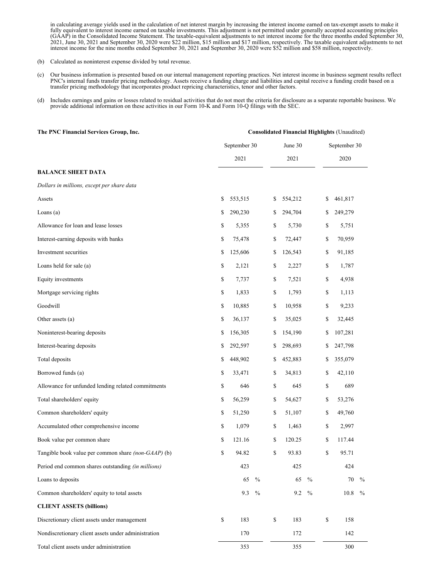in calculating average yields used in the calculation of net interest margin by increasing the interest income earned on tax-exempt assets to make it fully equivalent to interest income earned on taxable investments. This adjustment is not permitted under generally accepted accounting principles (GAAP) in the Consolidated Income Statement. The taxable-equivalent adjustments to net interest income for the three months ended September 30, 2021, June 30, 2021 and September 30, 2020 were \$22 million, \$15 million and \$17 million, respectively. The taxable equivalent adjustments to net interest income for the nine months ended September 30, 2021 and September 30, 2020 were \$52 million and \$58 million, respectively.

- (b) Calculated as noninterest expense divided by total revenue.
- (c) Our business information is presented based on our internal management reporting practices. Net interest income in business segment results reflect PNC's internal funds transfer pricing methodology. Assets receive a funding charge and liabilities and capital receive a funding credit based on a transfer pricing methodology that incorporates product repricing characteristics, tenor and other factors.
- (d) Includes earnings and gains or losses related to residual activities that do not meet the criteria for disclosure as a separate reportable business. We provide additional information on these activities in our Form 10-K and Form 10-Q filings with the SEC.

| The PNC Financial Services Group, Inc.              |               |               |              |         |               |              | <b>Consolidated Financial Highlights (Unaudited)</b> |      |
|-----------------------------------------------------|---------------|---------------|--------------|---------|---------------|--------------|------------------------------------------------------|------|
|                                                     | September 30  |               |              | June 30 |               |              | September 30                                         |      |
|                                                     | 2021          |               |              | 2021    |               |              | 2020                                                 |      |
| <b>BALANCE SHEET DATA</b>                           |               |               |              |         |               |              |                                                      |      |
| Dollars in millions, except per share data          |               |               |              |         |               |              |                                                      |      |
| Assets                                              | \$<br>553,515 |               | \$           | 554,212 |               | \$           | 461,817                                              |      |
| Loans $(a)$                                         | \$<br>290,230 |               | \$           | 294,704 |               | \$           | 249,279                                              |      |
| Allowance for loan and lease losses                 | \$<br>5,355   |               | \$           | 5,730   |               | \$           | 5,751                                                |      |
| Interest-earning deposits with banks                | \$<br>75,478  |               | \$           | 72,447  |               | \$           | 70,959                                               |      |
| Investment securities                               | \$<br>125,606 |               | \$           | 126,543 |               | \$           | 91,185                                               |      |
| Loans held for sale (a)                             | \$<br>2,121   |               | \$           | 2,227   |               | \$           | 1,787                                                |      |
| Equity investments                                  | \$<br>7,737   |               | \$           | 7,521   |               | \$           | 4,938                                                |      |
| Mortgage servicing rights                           | \$<br>1,833   |               | \$           | 1,793   |               | \$           | 1,113                                                |      |
| Goodwill                                            | \$<br>10,885  |               | \$           | 10,958  |               | \$           | 9,233                                                |      |
| Other assets (a)                                    | \$<br>36,137  |               | \$           | 35,025  |               | \$           | 32,445                                               |      |
| Noninterest-bearing deposits                        | \$<br>156,305 |               | \$           | 154,190 |               | \$           | 107,281                                              |      |
| Interest-bearing deposits                           | \$<br>292,597 |               | \$           | 298,693 |               | \$           | 247,798                                              |      |
| Total deposits                                      | \$<br>448,902 |               | \$           | 452,883 |               | \$           | 355,079                                              |      |
| Borrowed funds (a)                                  | \$<br>33,471  |               | \$           | 34,813  |               | \$           | 42,110                                               |      |
| Allowance for unfunded lending related commitments  | \$<br>646     |               | \$           | 645     |               | $\mathbb{S}$ | 689                                                  |      |
| Total shareholders' equity                          | \$<br>56,259  |               | \$           | 54,627  |               | \$           | 53,276                                               |      |
| Common shareholders' equity                         | \$<br>51,250  |               | \$           | 51,107  |               | \$           | 49,760                                               |      |
| Accumulated other comprehensive income              | \$<br>1,079   |               | \$           | 1,463   |               | \$           | 2,997                                                |      |
| Book value per common share                         | \$<br>121.16  |               | \$           | 120.25  |               | \$           | 117.44                                               |      |
| Tangible book value per common share (non-GAAP) (b) | \$<br>94.82   |               | \$           | 93.83   |               | \$           | 95.71                                                |      |
| Period end common shares outstanding (in millions)  | 423           |               |              | 425     |               |              | 424                                                  |      |
| Loans to deposits                                   | 65            | $\frac{0}{0}$ |              | 65      | $\frac{0}{0}$ |              | 70                                                   | $\%$ |
| Common shareholders' equity to total assets         | 9.3           | $\%$          |              | 9.2     | $\frac{0}{0}$ |              | 10.8                                                 | $\%$ |
| <b>CLIENT ASSETS (billions)</b>                     |               |               |              |         |               |              |                                                      |      |
| Discretionary client assets under management        | \$<br>183     |               | $\mathbb{S}$ | 183     |               | $\mathbb{S}$ | 158                                                  |      |
| Nondiscretionary client assets under administration | 170           |               |              | 172     |               |              | 142                                                  |      |
| Total client assets under administration            | 353           |               |              | 355     |               |              | 300                                                  |      |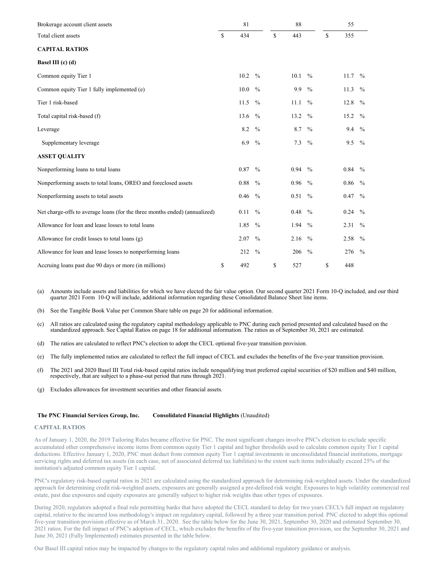| Brokerage account client assets                                            |    | 81   |               | 88        |               |              | 55   |               |
|----------------------------------------------------------------------------|----|------|---------------|-----------|---------------|--------------|------|---------------|
| Total client assets                                                        | S  | 434  |               | \$<br>443 |               | $\mathbb{S}$ | 355  |               |
| <b>CAPITAL RATIOS</b>                                                      |    |      |               |           |               |              |      |               |
| Basel III (c) (d)                                                          |    |      |               |           |               |              |      |               |
| Common equity Tier 1                                                       |    | 10.2 | $\frac{0}{0}$ | 10.1      | $\frac{0}{0}$ |              | 11.7 | $\frac{0}{0}$ |
| Common equity Tier 1 fully implemented (e)                                 |    | 10.0 | $\frac{0}{0}$ | 9.9       | $\frac{0}{0}$ |              | 11.3 | $\frac{0}{0}$ |
| Tier 1 risk-based                                                          |    | 11.5 | $\frac{0}{0}$ | 11.1      | $\frac{0}{0}$ |              | 12.8 | $\frac{0}{0}$ |
| Total capital risk-based (f)                                               |    | 13.6 | $\frac{0}{0}$ | 13.2      | $\frac{0}{0}$ |              | 15.2 | $\frac{0}{0}$ |
| Leverage                                                                   |    | 8.2  | $\frac{0}{0}$ | 8.7       | $\frac{0}{0}$ |              | 9.4  | $\frac{0}{0}$ |
| Supplementary leverage                                                     |    | 6.9  | $\frac{0}{0}$ | 7.3       | $\frac{0}{0}$ |              | 9.5  | $^{0}/_{0}$   |
| <b>ASSET QUALITY</b>                                                       |    |      |               |           |               |              |      |               |
| Nonperforming loans to total loans                                         |    | 0.87 | $\frac{0}{0}$ | 0.94      | $\frac{0}{0}$ |              | 0.84 | $\frac{0}{0}$ |
| Nonperforming assets to total loans, OREO and foreclosed assets            |    | 0.88 | $\frac{0}{0}$ | 0.96      | $\frac{0}{0}$ |              | 0.86 | $\frac{0}{0}$ |
| Nonperforming assets to total assets                                       |    | 0.46 | $\frac{0}{0}$ | 0.51      | $\frac{0}{0}$ |              | 0.47 | $\frac{0}{0}$ |
| Net charge-offs to average loans (for the three months ended) (annualized) |    | 0.11 | $\frac{0}{0}$ | 0.48      | $\frac{0}{0}$ |              | 0.24 | $\frac{0}{0}$ |
| Allowance for loan and lease losses to total loans                         |    | 1.85 | $\frac{0}{0}$ | 1.94      | $\frac{0}{0}$ |              | 2.31 | $\frac{0}{0}$ |
| Allowance for credit losses to total loans (g)                             |    | 2.07 | $\frac{0}{0}$ | 2.16      | $\frac{0}{0}$ |              | 2.58 | $\frac{0}{0}$ |
| Allowance for loan and lease losses to nonperforming loans                 |    | 212  | $\frac{0}{0}$ | 206       | $\frac{0}{0}$ |              | 276  | $^{0}/_{0}$   |
| Accruing loans past due 90 days or more (in millions)                      | \$ | 492  |               | \$<br>527 |               | \$           | 448  |               |

- (a) Amounts include assets and liabilities for which we have elected the fair value option. Our second quarter 2021 Form 10-Q included, and our third quarter 2021 Form 10-Q will include, additional information regarding these Consolidated Balance Sheet line items.
- (b) See the Tangible Book Value per Common Share table on page 20 for additional information.
- (c) All ratios are calculated using the regulatory capital methodology applicable to PNC during each period presented and calculated based on the standardized approach. See Capital Ratios on page 18 for additional information. The ratios as of September 30, 2021 are estimated.
- (d) The ratios are calculated to reflect PNC's election to adopt the CECL optional five-year transition provision.
- (e) The fully implemented ratios are calculated to reflect the full impact of CECL and excludes the benefits of the five-year transition provision.
- (f) The 2021 and 2020 Basel III Total risk-based capital ratios include nonqualifying trust preferred capital securities of \$20 million and \$40 million, respectively, that are subject to a phase-out period that runs through 2021.
- (g) Excludes allowances for investment securities and other financial assets.

### **The PNC Financial Services Group, Inc. Consolidated Financial Highlights** (Unaudited)

### **CAPITAL RATIOS**

As of January 1, 2020, the 2019 Tailoring Rules became effective for PNC. The most significant changes involve PNC's election to exclude specific accumulated other comprehensive income items from common equity Tier 1 capital and higher thresholds used to calculate common equity Tier 1 capital deductions. Effective January 1, 2020, PNC must deduct from common equity Tier 1 capital investments in unconsolidated financial institutions, mortgage servicing rights and deferred tax assets (in each case, net of associated deferred tax liabilities) to the extent such items individually exceed 25% of the institution's adjusted common equity Tier 1 capital.

PNC's regulatory risk-based capital ratios in 2021 are calculated using the standardized approach for determining risk-weighted assets. Under the standardized approach for determining credit risk-weighted assets, exposures are generally assigned a pre-defined risk weight. Exposures to high volatility commercial real estate, past due exposures and equity exposures are generally subject to higher risk weights than other types of exposures.

During 2020, regulators adopted a final rule permitting banks that have adopted the CECL standard to delay for two years CECL's full impact on regulatory capital, relative to the incurred loss methodology's impact on regulatory capital, followed by a three year transition period. PNC elected to adopt this optional five-year transition provision effective as of March 31, 2020. See the table below for the June 30, 2021, September 30, 2020 and estimated September 30, 2021 ratios. For the full impact of PNC's adoption of CECL, which excludes the benefits of the five-year transition provision, see the September 30, 2021 and June 30, 2021 (Fully Implemented) estimates presented in the table below.

Our Basel III capital ratios may be impacted by changes to the regulatory capital rules and additional regulatory guidance or analysis.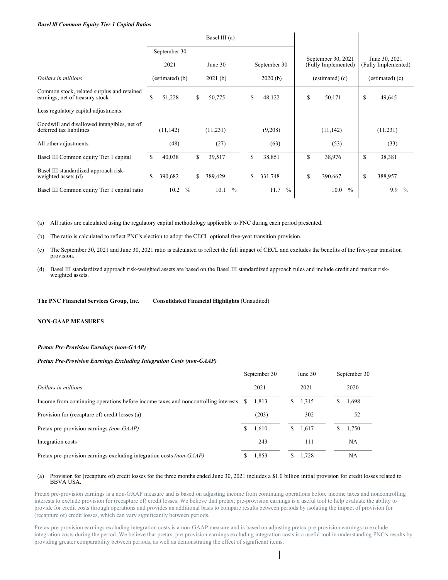# *Basel lll Common Equity Tier 1 Capital Ratios*

|                                                                               |    |                 |               |    | Basel III (a) |               |    |              |               |                                           |               |                                      |               |
|-------------------------------------------------------------------------------|----|-----------------|---------------|----|---------------|---------------|----|--------------|---------------|-------------------------------------------|---------------|--------------------------------------|---------------|
|                                                                               |    | September 30    |               |    |               |               |    |              |               |                                           |               |                                      |               |
|                                                                               |    | 2021            |               |    | June 30       |               |    | September 30 |               | September 30, 2021<br>(Fully Implemented) |               | June 30, 2021<br>(Fully Implemented) |               |
| Dollars in millions                                                           |    | (estimated) (b) |               |    | 2021(b)       |               |    | 2020(b)      |               | $(estimated)$ $(c)$                       |               | (estimated) (c)                      |               |
| Common stock, related surplus and retained<br>earnings, net of treasury stock | \$ | 51,228          |               | S  | 50,775        |               | \$ | 48,122       |               | \$<br>50,171                              |               | \$<br>49,645                         |               |
| Less regulatory capital adjustments:                                          |    |                 |               |    |               |               |    |              |               |                                           |               |                                      |               |
| Goodwill and disallowed intangibles, net of<br>deferred tax liabilities       |    | (11, 142)       |               |    | (11,231)      |               |    | (9,208)      |               | (11, 142)                                 |               | (11,231)                             |               |
| All other adjustments                                                         |    | (48)            |               |    | (27)          |               |    | (63)         |               | (53)                                      |               | (33)                                 |               |
| Basel III Common equity Tier 1 capital                                        | S. | 40,038          |               | \$ | 39,517        |               | \$ | 38,851       |               | \$<br>38,976                              |               | \$<br>38,381                         |               |
| Basel III standardized approach risk-<br>weighted assets (d)                  | \$ | 390,682         |               | \$ | 389,429       |               | \$ | 331,748      |               | \$<br>390,667                             |               | \$<br>388,957                        |               |
| Basel III Common equity Tier 1 capital ratio                                  |    | 10.2            | $\frac{0}{0}$ |    | 10.1          | $\frac{0}{0}$ |    | 11.7         | $\frac{0}{0}$ | 10.0                                      | $\frac{0}{0}$ | 9.9                                  | $\frac{0}{0}$ |

(a) All ratios are calculated using the regulatory capital methodology applicable to PNC during each period presented.

(b) The ratio is calculated to reflect PNC's election to adopt the CECL optional five-year transition provision.

- (c) The September 30, 2021 and June 30, 2021 ratio is calculated to reflect the full impact of CECL and excludes the benefits of the five-year transition provision.
- (d) Basel III standardized approach risk-weighted assets are based on the Basel III standardized approach rules and include credit and market risk- weighted assets.

**The PNC Financial Services Group, Inc. Consolidated Financial Highlights** (Unaudited)

# **NON-GAAP MEASURES**

### *Pretax Pre-Provision Earnings (non-GAAP)*

### *Pretax Pre-Provision Earnings Excluding Integration Costs (non-GAAP)*

|                                                                                       | September 30 |   | June 30 |   | September 30 |
|---------------------------------------------------------------------------------------|--------------|---|---------|---|--------------|
| Dollars in millions                                                                   | 2021         |   | 2021    |   | 2020         |
| Income from continuing operations before income taxes and noncontrolling interests \$ | 1.813        | S | 1,315   | S | 1,698        |
| Provision for (recapture of) credit losses (a)                                        | (203)        |   | 302     |   | 52           |
| Pretax pre-provision earnings (non-GAAP)                                              | 1.610        | S | 1,617   | S | 1,750        |
| Integration costs                                                                     | 243          |   | 111     |   | NA           |
| Pretax pre-provision earnings excluding integration costs (non-GAAP)                  | 1,853        |   | 1.728   |   | NA           |

### (a) Provision for (recapture of) credit losses for the three months ended June 30, 2021 includes a \$1.0 billion initial provision for credit losses related to BBVA USA.

Pretax pre-provision earnings is a non-GAAP measure and is based on adjusting income from continuing operations before income taxes and noncontrolling interests to exclude provision for (recapture of) credit losses. We believe that pretax, pre-provision earnings is a useful tool to help evaluate the ability to provide for credit costs through operations and provides an additional basis to compare results between periods by isolating the impact of provision for (recapture of) credit losses, which can vary significantly between periods.

Pretax pre-provision earnings excluding integration costs is a non-GAAP measure and is based on adjusting pretax pre-provision earnings to exclude integration costs during the period. We believe that pretax, pre-provision earnings excluding integration costs is a useful tool in understanding PNC's results by providing greater comparability between periods, as well as demonstrating the effect of significant items.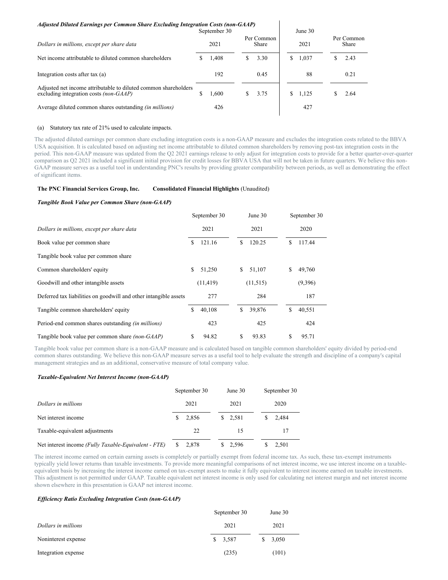# *Adjusted Diluted Earnings per Common Share Excluding Integration Costs (non-GAAP)*

| September 30                                                                                                     |                             |       |    |      | June 30 |                     |  |      |  |  |
|------------------------------------------------------------------------------------------------------------------|-----------------------------|-------|----|------|---------|---------------------|--|------|--|--|
| Dollars in millions, except per share data                                                                       | Per Common<br>2021<br>Share |       |    | 2021 |         | Per Common<br>Share |  |      |  |  |
| Net income attributable to diluted common shareholders                                                           |                             | 1,408 | S. | 3.30 | S.      | 1,037               |  | 2.43 |  |  |
| Integration costs after tax (a)                                                                                  |                             | 192   |    | 0.45 |         | 88                  |  | 0.21 |  |  |
| Adjusted net income attributable to diluted common shareholders<br>excluding integration costs <i>(non-GAAP)</i> |                             | 1.600 | S. | 3.75 | S.      | 1,125               |  | 2.64 |  |  |
| Average diluted common shares outstanding <i>(in millions)</i>                                                   |                             | 426   |    |      |         | 427                 |  |      |  |  |

# (a) Statutory tax rate of 21% used to calculate impacts.

The adjusted diluted earnings per common share excluding integration costs is a non-GAAP measure and excludes the integration costs related to the BBVA USA acquisition. It is calculated based on adjusting net income attributable to diluted common shareholders by removing post-tax integration costs in the period. This non-GAAP measure was updated from the Q2 2021 earnings release to only adjust for integration costs to provide for a better quarter-over-quarter comparison as Q2 2021 included a significant initial provision for credit losses for BBVA USA that will not be taken in future quarters. We believe this non-GAAP measure serves as a useful tool in understanding PNC's results by providing greater comparability between periods, as well as demonstrating the effect of significant items.

# **The PNC Financial Services Group, Inc. Consolidated Financial Highlights** (Unaudited)

# *Tangible Book Value per Common Share (non-GAAP)*

|                                                                  | September 30 |           |     | June 30   |  | September 30 |         |  |
|------------------------------------------------------------------|--------------|-----------|-----|-----------|--|--------------|---------|--|
| Dollars in millions, except per share data                       |              | 2021      |     | 2021      |  |              | 2020    |  |
| Book value per common share                                      | \$.          | 121.16    | \$. | 120.25    |  | \$.          | 117.44  |  |
| Tangible book value per common share                             |              |           |     |           |  |              |         |  |
| Common shareholders' equity                                      | \$           | 51,250    | \$  | 51,107    |  | \$           | 49,760  |  |
| Goodwill and other intangible assets                             |              | (11, 419) |     | (11, 515) |  |              | (9,396) |  |
| Deferred tax liabilities on goodwill and other intangible assets |              | 277       |     | 284       |  |              | 187     |  |
| Tangible common shareholders' equity                             | \$           | 40,108    | \$  | 39,876    |  | \$           | 40,551  |  |
| Period-end common shares outstanding <i>(in millions)</i>        |              | 423       |     | 425       |  |              | 424     |  |
| Tangible book value per common share <i>(non-GAAP)</i>           | \$           | 94.82     | S   | 93.83     |  | \$           | 95.71   |  |

Tangible book value per common share is a non-GAAP measure and is calculated based on tangible common shareholders' equity divided by period-end common shares outstanding. We believe this non-GAAP measure serves as a useful tool to help evaluate the strength and discipline of a company's capital management strategies and as an additional, conservative measure of total company value.

### *Taxable-Equivalent Net Interest Income (non-GAAP)*

|                                                      | September 30 | June $30$ | September 30 |  |  |
|------------------------------------------------------|--------------|-----------|--------------|--|--|
| Dollars in millions                                  | 2021         | 2021      | 2020         |  |  |
| Net interest income                                  | 2,856        | \$2,581   | 2.484        |  |  |
| Taxable-equivalent adjustments                       | 22           | 15        | 17           |  |  |
| Net interest income (Fully Taxable-Equivalent - FTE) | 2.878        | 2,596     | 2,501        |  |  |

The interest income earned on certain earning assets is completely or partially exempt from federal income tax. As such, these tax-exempt instruments typically yield lower returns than taxable investments. To provide more meaningful comparisons of net interest income, we use interest income on a taxableequivalent basis by increasing the interest income earned on tax-exempt assets to make it fully equivalent to interest income earned on taxable investments. This adjustment is not permitted under GAAP. Taxable equivalent net interest income is only used for calculating net interest margin and net interest income shown elsewhere in this presentation is GAAP net interest income.

# *Ef iciency Ratio Excluding Integration Costs (non-GAAP)*

|                     | September 30 |         |    | June 30 |
|---------------------|--------------|---------|----|---------|
| Dollars in millions |              | 2021    |    | 2021    |
| Noninterest expense |              | \$3,587 | S. | 3,050   |
| Integration expense |              | (235)   |    | (101)   |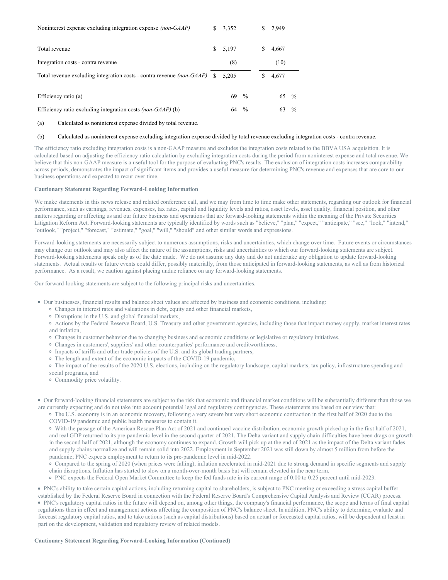| Noninterest expense excluding integration expense <i>(non-GAAP)</i>          | \$  | 3,352 |               | S. | 2,949 |               |
|------------------------------------------------------------------------------|-----|-------|---------------|----|-------|---------------|
| Total revenue                                                                | \$. | 5,197 |               |    | 4,667 |               |
| Integration costs - contra revenue                                           |     | (8)   |               |    | (10)  |               |
| Total revenue excluding integration costs - contra revenue <i>(non-GAAP)</i> | S   | 5.205 |               |    | 4,677 |               |
|                                                                              |     |       |               |    |       |               |
| Efficiency ratio (a)                                                         |     | 69    | $\frac{0}{0}$ |    | 65 %  |               |
| Efficiency ratio excluding integration costs <i>(non-GAAP)</i> (b)           |     | 64    | $\frac{0}{0}$ |    | 63    | $\frac{0}{0}$ |

(a) Calculated as noninterest expense divided by total revenue.

# (b) Calculated as noninterest expense excluding integration expense divided by total revenue excluding integration costs - contra revenue.

The efficiency ratio excluding integration costs is a non-GAAP measure and excludes the integration costs related to the BBVA USA acquisition. It is calculated based on adjusting the efficiency ratio calculation by excluding integration costs during the period from noninterest expense and total revenue. We believe that this non-GAAP measure is a useful tool for the purpose of evaluating PNC's results. The exclusion of integration costs increases comparability across periods, demonstrates the impact of significant items and provides a useful measure for determining PNC's revenue and expenses that are core to our business operations and expected to recur over time.

### **Cautionary Statement Regarding Forward-Looking Information**

We make statements in this news release and related conference call, and we may from time to time make other statements, regarding our outlook for financial performance, such as earnings, revenues, expenses, tax rates, capital and liquidity levels and ratios, asset levels, asset quality, financial position, and other matters regarding or affecting us and our future business and operations that are forward-looking statements within the meaning of the Private Securities Litigation Reform Act. Forward-looking statements are typically identified by words such as "believe," "plan," "expect," "anticipate," "see," "look," "intend," "outlook," "project," "forecast," "estimate," "goal," "will," "should" and other similar words and expressions.

Forward-looking statements are necessarily subject to numerous assumptions, risks and uncertainties, which change over time. Future events or circumstances may change our outlook and may also affect the nature of the assumptions, risks and uncertainties to which our forward-looking statements are subject. Forward-looking statements speak only as of the date made. We do not assume any duty and do not undertake any obligation to update forward-looking statements. Actual results or future events could differ, possibly materially, from those anticipated in forward-looking statements, as well as from historical performance. As a result, we caution against placing undue reliance on any forward-looking statements.

Our forward-looking statements are subject to the following principal risks and uncertainties.

- Our businesses, financial results and balance sheet values are affected by business and economic conditions, including:
	- Changes in interest rates and valuations in debt, equity and other financial markets,
	- Disruptions in the U.S. and global financial markets,

Actions by the Federal Reserve Board, U.S. Treasury and other government agencies, including those that impact money supply, market interest rates and inflation,

- Changes in customer behavior due to changing business and economic conditions or legislative or regulatory initiatives,
- Changes in customers', suppliers' and other counterparties' performance and creditworthiness,
- Impacts of tariffs and other trade policies of the U.S. and its global trading partners,
- The length and extent of the economic impacts of the COVID-19 pandemic,
- The impact of the results of the 2020 U.S. elections, including on the regulatory landscape, capital markets, tax policy, infrastructure spending and
- social programs, and
- Commodity price volatility.
- Our forward-looking financial statements are subject to the risk that economic and financial market conditions will be substantially different than those we are currently expecting and do not take into account potential legal and regulatory contingencies. These statements are based on our view that:
	- The U.S. economy is in an economic recovery, following a very severe but very short economic contraction in the first half of 2020 due to the COVID-19 pandemic and public health measures to contain it.

With the passage of the American Rescue Plan Act of 2021 and continued vaccine distribution, economic growth picked up in the first half of 2021, and real GDP returned to its pre-pandemic level in the second quarter of 2021. The Delta variant and supply chain difficulties have been drags on growth in the second half of 2021, although the economy continues to expand. Growth will pick up at the end of 2021 as the impact of the Delta variant fades and supply chains normalize and will remain solid into 2022. Employment in September 2021 was still down by almost 5 million from before the pandemic; PNC expects employment to return to its pre-pandemic level in mid-2022.

Compared to the spring of 2020 (when prices were falling), inflation accelerated in mid-2021 due to strong demand in specific segments and supply chain disruptions. Inflation has started to slow on a month-over-month basis but will remain elevated in the near term.

PNC expects the Federal Open Market Committee to keep the fed funds rate in its current range of 0.00 to 0.25 percent until mid-2023.

PNC's ability to take certain capital actions, including returning capital to shareholders, is subject to PNC meeting or exceeding a stress capital buffer established by the Federal Reserve Board in connection with the Federal Reserve Board's Comprehensive Capital Analysis and Review (CCAR) process.

PNC's regulatory capital ratios in the future will depend on, among other things, the company's financial performance, the scope and terms of final capital regulations then in effect and management actions affecting the composition of PNC's balance sheet. In addition, PNC's ability to determine, evaluate and forecast regulatory capital ratios, and to take actions (such as capital distributions) based on actual or forecasted capital ratios, will be dependent at least in part on the development, validation and regulatory review of related models.

### **Cautionary Statement Regarding Forward-Looking Information (Continued)**